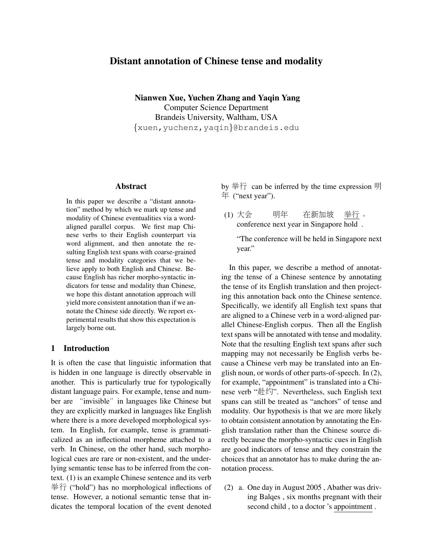# Distant annotation of Chinese tense and modality

Nianwen Xue, Yuchen Zhang and Yaqin Yang Computer Science Department Brandeis University, Waltham, USA {xuen,yuchenz,yaqin}@brandeis.edu

### Abstract

In this paper we describe a "distant annotation" method by which we mark up tense and modality of Chinese eventualities via a wordaligned parallel corpus. We first map Chinese verbs to their English counterpart via word alignment, and then annotate the resulting English text spans with coarse-grained tense and modality categories that we believe apply to both English and Chinese. Because English has richer morpho-syntactic indicators for tense and modality than Chinese, we hope this distant annotation approach will yield more consistent annotation than if we annotate the Chinese side directly. We report experimental results that show this expectation is largely borne out.

## 1 Introduction

It is often the case that linguistic information that is hidden in one language is directly observable in another. This is particularly true for typologically distant language pairs. For example, tense and number are "invisible" in languages like Chinese but they are explicitly marked in languages like English where there is a more developed morphological system. In English, for example, tense is grammaticalized as an inflectional morpheme attached to a verb. In Chinese, on the other hand, such morphological cues are rare or non-existent, and the underlying semantic tense has to be inferred from the context. (1) is an example Chinese sentence and its verb 举行 ("hold") has no morphological inflections of tense. However, a notional semantic tense that indicates the temporal location of the event denoted by 举行 can be inferred by the time expression 明 年 ("next year").

(1) 大<sup>会</sup> conference next year in Singapore hold . 明年 在 新加坡 举行 。

"The conference will be held in Singapore next year."

In this paper, we describe a method of annotating the tense of a Chinese sentence by annotating the tense of its English translation and then projecting this annotation back onto the Chinese sentence. Specifically, we identify all English text spans that are aligned to a Chinese verb in a word-aligned parallel Chinese-English corpus. Then all the English text spans will be annotated with tense and modality. Note that the resulting English text spans after such mapping may not necessarily be English verbs because a Chinese verb may be translated into an English noun, or words of other parts-of-speech. In (2), for example, "appointment" is translated into a Chinese verb "赴约". Nevertheless, such English text spans can still be treated as "anchors" of tense and modality. Our hypothesis is that we are more likely to obtain consistent annotation by annotating the English translation rather than the Chinese source directly because the morpho-syntactic cues in English are good indicators of tense and they constrain the choices that an annotator has to make during the annotation process.

(2) a. One day in August 2005 , Abather was driving Balqes , six months pregnant with their second child , to a doctor 's appointment .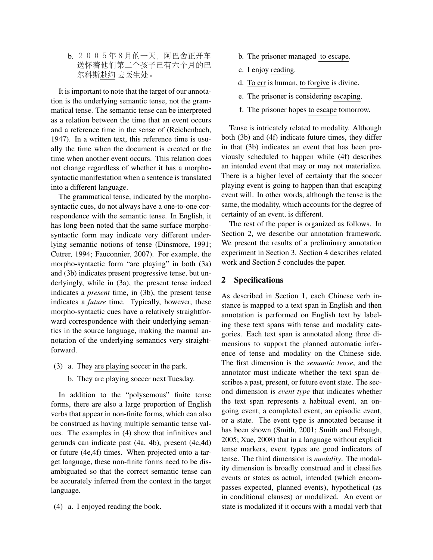b. <sup>2005</sup>年8月的一天,阿巴舍正开<sup>车</sup> <sup>送</sup>怀着他们第二个孩子已有六个月的<sup>巴</sup> 尔科斯赴<sup>约</sup> 去医生处。

It is important to note that the target of our annotation is the underlying semantic tense, not the grammatical tense. The semantic tense can be interpreted as a relation between the time that an event occurs and a reference time in the sense of (Reichenbach, 1947). In a written text, this reference time is usually the time when the document is created or the time when another event occurs. This relation does not change regardless of whether it has a morphosyntactic manifestation when a sentence is translated into a different language.

The grammatical tense, indicated by the morphosyntactic cues, do not always have a one-to-one correspondence with the semantic tense. In English, it has long been noted that the same surface morphosyntactic form may indicate very different underlying semantic notions of tense (Dinsmore, 1991; Cutrer, 1994; Fauconnier, 2007). For example, the morpho-syntactic form "are playing" in both (3a) and (3b) indicates present progressive tense, but underlyingly, while in (3a), the present tense indeed indicates a *present* time, in (3b), the present tense indicates a *future* time. Typically, however, these morpho-syntactic cues have a relatively straightforward correspondence with their underlying semantics in the source language, making the manual annotation of the underlying semantics very straightforward.

- (3) a. They are playing soccer in the park.
	- b. They are playing soccer next Tuesday.

In addition to the "polysemous" finite tense forms, there are also a large proportion of English verbs that appear in non-finite forms, which can also be construed as having multiple semantic tense values. The examples in (4) show that infinitives and gerunds can indicate past (4a, 4b), present (4c,4d) or future (4e,4f) times. When projected onto a target language, these non-finite forms need to be disambiguated so that the correct semantic tense can be accurately inferred from the context in the target language.

(4) a. I enjoyed reading the book.

- b. The prisoner managed to escape.
- c. I enjoy reading.
- d. To err is human, to forgive is divine.
- e. The prisoner is considering escaping.
- f. The prisoner hopes to escape tomorrow.

Tense is intricately related to modality. Although both (3b) and (4f) indicate future times, they differ in that (3b) indicates an event that has been previously scheduled to happen while (4f) describes an intended event that may or may not materialize. There is a higher level of certainty that the soccer playing event is going to happen than that escaping event will. In other words, although the tense is the same, the modality, which accounts for the degree of certainty of an event, is different.

The rest of the paper is organized as follows. In Section 2, we describe our annotation framework. We present the results of a preliminary annotation experiment in Section 3. Section 4 describes related work and Section 5 concludes the paper.

#### 2 Specifications

As described in Section 1, each Chinese verb instance is mapped to a text span in English and then annotation is performed on English text by labeling these text spans with tense and modality categories. Each text span is annotated along three dimensions to support the planned automatic inference of tense and modality on the Chinese side. The first dimension is the *semantic tense*, and the annotator must indicate whether the text span describes a past, present, or future event state. The second dimension is *event type* that indicates whether the text span represents a habitual event, an ongoing event, a completed event, an episodic event, or a state. The event type is annotated because it has been shown (Smith, 2001; Smith and Erbaugh, 2005; Xue, 2008) that in a language without explicit tense markers, event types are good indicators of tense. The third dimension is *modality*. The modality dimension is broadly construed and it classifies events or states as actual, intended (which encompasses expected, planned events), hypothetical (as in conditional clauses) or modalized. An event or state is modalized if it occurs with a modal verb that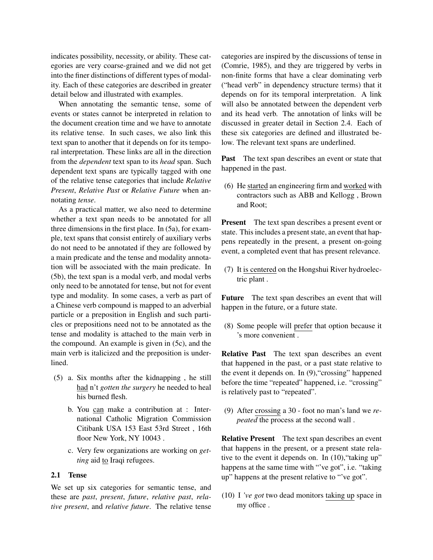indicates possibility, necessity, or ability. These categories are very coarse-grained and we did not get into the finer distinctions of different types of modality. Each of these categories are described in greater detail below and illustrated with examples.

When annotating the semantic tense, some of events or states cannot be interpreted in relation to the document creation time and we have to annotate its relative tense. In such cases, we also link this text span to another that it depends on for its temporal interpretation. These links are all in the direction from the *dependent* text span to its *head* span. Such dependent text spans are typically tagged with one of the relative tense categories that include *Relative Present*, *Relative Past* or *Relative Future* when annotating *tense*.

As a practical matter, we also need to determine whether a text span needs to be annotated for all three dimensions in the first place. In (5a), for example, text spans that consist entirely of auxiliary verbs do not need to be annotated if they are followed by a main predicate and the tense and modality annotation will be associated with the main predicate. In (5b), the text span is a modal verb, and modal verbs only need to be annotated for tense, but not for event type and modality. In some cases, a verb as part of a Chinese verb compound is mapped to an adverbial particle or a preposition in English and such particles or prepositions need not to be annotated as the tense and modality is attached to the main verb in the compound. An example is given in (5c), and the main verb is italicized and the preposition is underlined.

- (5) a. Six months after the kidnapping , he still had n't *gotten the surgery* he needed to heal his burned flesh.
	- b. You can make a contribution at : International Catholic Migration Commission Citibank USA 153 East 53rd Street , 16th floor New York, NY 10043.
	- c. Very few organizations are working on *getting* aid to Iraqi refugees.

### 2.1 Tense

We set up six categories for semantic tense, and these are *past*, *present*, *future*, *relative past*, *relative present*, and *relative future*. The relative tense categories are inspired by the discussions of tense in (Comrie, 1985), and they are triggered by verbs in non-finite forms that have a clear dominating verb ("head verb" in dependency structure terms) that it depends on for its temporal interpretation. A link will also be annotated between the dependent verb and its head verb. The annotation of links will be discussed in greater detail in Section 2.4. Each of these six categories are defined and illustrated below. The relevant text spans are underlined.

Past The text span describes an event or state that happened in the past.

(6) He started an engineering firm and worked with contractors such as ABB and Kellogg , Brown and Root;

Present The text span describes a present event or state. This includes a present state, an event that happens repeatedly in the present, a present on-going event, a completed event that has present relevance.

(7) It is centered on the Hongshui River hydroelectric plant .

Future The text span describes an event that will happen in the future, or a future state.

(8) Some people will prefer that option because it 's more convenient .

Relative Past The text span describes an event that happened in the past, or a past state relative to the event it depends on. In (9),"crossing" happened before the time "repeated" happened, i.e. "crossing" is relatively past to "repeated".

(9) After crossing a 30 - foot no man's land we *repeated* the process at the second wall .

Relative Present The text span describes an event that happens in the present, or a present state relative to the event it depends on. In (10), "taking up" happens at the same time with "'ve got", i.e. "taking up" happens at the present relative to "'ve got".

(10) I *'ve got* two dead monitors taking up space in my office .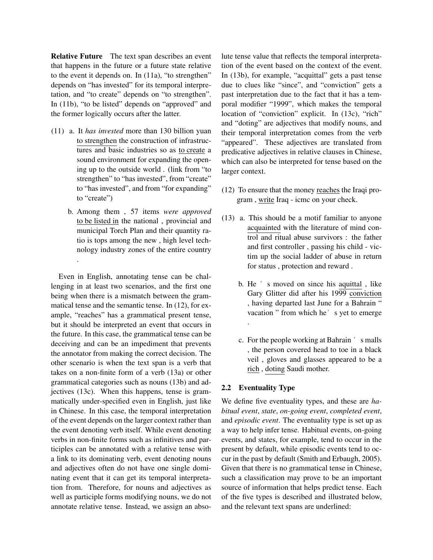Relative Future The text span describes an event that happens in the future or a future state relative to the event it depends on. In (11a), "to strengthen" depends on "has invested" for its temporal interpretation, and "to create" depends on "to strengthen". In (11b), "to be listed" depends on "approved" and the former logically occurs after the latter.

- (11) a. It *has invested* more than 130 billion yuan to strengthen the construction of infrastructures and basic industries so as to create a sound environment for expanding the opening up to the outside world . (link from "to strengthen" to "has invested", from "create" to "has invested", and from "for expanding" to "create")
	- b. Among them , 57 items *were approved* to be listed in the national , provincial and municipal Torch Plan and their quantity ratio is tops among the new , high level technology industry zones of the entire country

.

Even in English, annotating tense can be challenging in at least two scenarios, and the first one being when there is a mismatch between the grammatical tense and the semantic tense. In (12), for example, "reaches" has a grammatical present tense, but it should be interpreted an event that occurs in the future. In this case, the grammatical tense can be deceiving and can be an impediment that prevents the annotator from making the correct decision. The other scenario is when the text span is a verb that takes on a non-finite form of a verb (13a) or other grammatical categories such as nouns (13b) and adjectives (13c). When this happens, tense is grammatically under-specified even in English, just like in Chinese. In this case, the temporal interpretation of the event depends on the larger context rather than the event denoting verb itself. While event denoting verbs in non-finite forms such as infinitives and participles can be annotated with a relative tense with a link to its dominating verb, event denoting nouns and adjectives often do not have one single dominating event that it can get its temporal interpretation from. Therefore, for nouns and adjectives as well as participle forms modifying nouns, we do not annotate relative tense. Instead, we assign an absolute tense value that reflects the temporal interpretation of the event based on the context of the event. In (13b), for example, "acquittal" gets a past tense due to clues like "since", and "conviction" gets a past interpretation due to the fact that it has a temporal modifier "1999", which makes the temporal location of "conviction" explicit. In (13c), "rich" and "doting" are adjectives that modify nouns, and their temporal interpretation comes from the verb "appeared". These adjectives are translated from predicative adjectives in relative clauses in Chinese, which can also be interpreted for tense based on the larger context.

- (12) To ensure that the money reaches the Iraqi program , write Iraq - icmc on your check.
- (13) a. This should be a motif familiar to anyone acquainted with the literature of mind control and ritual abuse survivors : the father and first controller , passing his child - victim up the social ladder of abuse in return for status , protection and reward .
	- b. He 's moved on since his aquittal , like Gary Glitter did after his 1999 conviction , having departed last June for a Bahrain " vacation " from which he's yet to emerge .
	- c. For the people working at Bahrain  $\prime$  s malls , the person covered head to toe in a black veil , gloves and glasses appeared to be a rich, doting Saudi mother.

#### 2.2 Eventuality Type

We define five eventuality types, and these are *habitual event*, *state*, *on-going event*, *completed event*, and *episodic event*. The eventuality type is set up as a way to help infer tense. Habitual events, on-going events, and states, for example, tend to occur in the present by default, while episodic events tend to occur in the past by default (Smith and Erbaugh, 2005). Given that there is no grammatical tense in Chinese, such a classification may prove to be an important source of information that helps predict tense. Each of the five types is described and illustrated below, and the relevant text spans are underlined: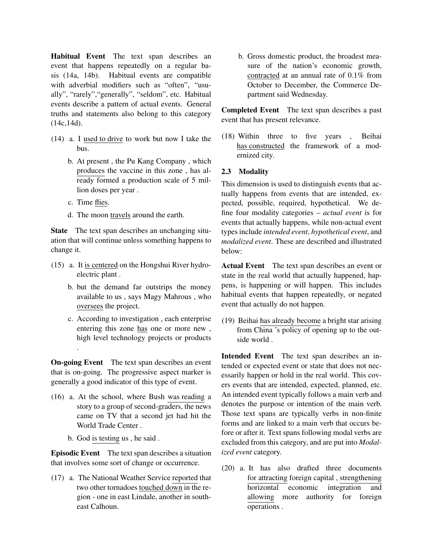Habitual Event The text span describes an event that happens repeatedly on a regular basis (14a, 14b). Habitual events are compatible with adverbial modifiers such as "often", "usually", "rarely","generally", "seldom", etc. Habitual events describe a pattern of actual events. General truths and statements also belong to this category (14c,14d).

- (14) a. I used to drive to work but now I take the bus.
	- b. At present , the Pu Kang Company , which produces the vaccine in this zone , has already formed a production scale of 5 million doses per year .
	- c. Time flies.

.

d. The moon travels around the earth.

State The text span describes an unchanging situation that will continue unless something happens to change it.

- (15) a. It is centered on the Hongshui River hydroelectric plant .
	- b. but the demand far outstrips the money available to us , says Magy Mahrous , who oversees the project.
	- c. According to investigation , each enterprise entering this zone has one or more new , high level technology projects or products

On-going Event The text span describes an event that is on-going. The progressive aspect marker is generally a good indicator of this type of event.

- (16) a. At the school, where Bush was reading a story to a group of second-graders, the news came on TV that a second jet had hit the World Trade Center .
	- b. God is testing us , he said .

Episodic Event The text span describes a situation that involves some sort of change or occurrence.

(17) a. The National Weather Service reported that two other tornadoes touched down in the region - one in east Lindale, another in southeast Calhoun.

b. Gross domestic product, the broadest measure of the nation's economic growth, contracted at an annual rate of 0.1% from October to December, the Commerce Department said Wednesday.

Completed Event The text span describes a past event that has present relevance.

(18) Within three to five years , Beihai has constructed the framework of a modernized city.

### 2.3 Modality

This dimension is used to distinguish events that actually happens from events that are intended, expected, possible, required, hypothetical. We define four modality categories – *actual event* is for events that actually happens, while non-actual event types include *intended event*, *hypothetical event*, and *modalized event*. These are described and illustrated below:

Actual Event The text span describes an event or state in the real world that actually happened, happens, is happening or will happen. This includes habitual events that happen repeatedly, or negated event that actually do not happen.

(19) Beihai has already become a bright star arising from China 's policy of opening up to the outside world .

Intended Event The text span describes an intended or expected event or state that does not necessarily happen or hold in the real world. This covers events that are intended, expected, planned, etc. An intended event typically follows a main verb and denotes the purpose or intention of the main verb. Those text spans are typically verbs in non-finite forms and are linked to a main verb that occurs before or after it. Text spans following modal verbs are excluded from this category, and are put into *Modalized event* category.

(20) a. It has also drafted three documents for attracting foreign capital , strengthening horizontal economic integration and allowing more authority for foreign operations .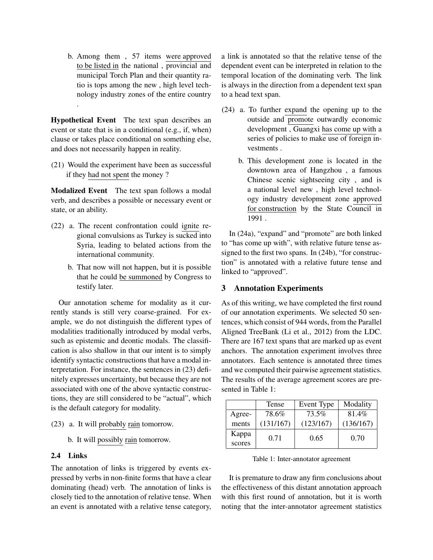b. Among them , 57 items were approved to be listed in the national , provincial and municipal Torch Plan and their quantity ratio is tops among the new , high level technology industry zones of the entire country .

Hypothetical Event The text span describes an event or state that is in a conditional (e.g., if, when) clause or takes place conditional on something else, and does not necessarily happen in reality.

(21) Would the experiment have been as successful if they had not spent the money ?

Modalized Event The text span follows a modal verb, and describes a possible or necessary event or state, or an ability.

- (22) a. The recent confrontation could ignite regional convulsions as Turkey is sucked into Syria, leading to belated actions from the international community.
	- b. That now will not happen, but it is possible that he could be summoned by Congress to testify later.

Our annotation scheme for modality as it currently stands is still very coarse-grained. For example, we do not distinguish the different types of modalities traditionally introduced by modal verbs, such as epistemic and deontic modals. The classification is also shallow in that our intent is to simply identify syntactic constructions that have a modal interpretation. For instance, the sentences in (23) definitely expresses uncertainty, but because they are not associated with one of the above syntactic constructions, they are still considered to be "actual", which is the default category for modality.

- (23) a. It will probably rain tomorrow.
	- b. It will possibly rain tomorrow.

### 2.4 Links

The annotation of links is triggered by events expressed by verbs in non-finite forms that have a clear dominating (head) verb. The annotation of links is closely tied to the annotation of relative tense. When an event is annotated with a relative tense category,

a link is annotated so that the relative tense of the dependent event can be interpreted in relation to the temporal location of the dominating verb. The link is always in the direction from a dependent text span to a head text span.

- (24) a. To further expand the opening up to the outside and promote outwardly economic development , Guangxi has come up with a series of policies to make use of foreign investments .
	- b. This development zone is located in the downtown area of Hangzhou , a famous Chinese scenic sightseeing city , and is a national level new , high level technology industry development zone approved for construction by the State Council in 1991 .

In (24a), "expand" and "promote" are both linked to "has come up with", with relative future tense assigned to the first two spans. In (24b), "for construction" is annotated with a relative future tense and linked to "approved".

# 3 Annotation Experiments

As of this writing, we have completed the first round of our annotation experiments. We selected 50 sentences, which consist of 944 words, from the Parallel Aligned TreeBank (Li et al., 2012) from the LDC. There are 167 text spans that are marked up as event anchors. The annotation experiment involves three annotators. Each sentence is annotated three times and we computed their pairwise agreement statistics. The results of the average agreement scores are presented in Table 1:

|        | Tense     | Event Type | Modality  |
|--------|-----------|------------|-----------|
| Agree- | 78.6%     | 73.5%      | 81.4%     |
| ments  | (131/167) | (123/167)  | (136/167) |
| Kappa  | 0.71      | 0.65       | 0.70      |
| scores |           |            |           |

Table 1: Inter-annotator agreement

It is premature to draw any firm conclusions about the effectiveness of this distant annotation approach with this first round of annotation, but it is worth noting that the inter-annotator agreement statistics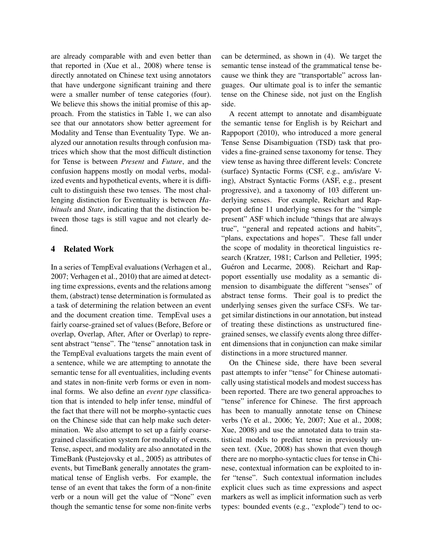are already comparable with and even better than that reported in (Xue et al., 2008) where tense is directly annotated on Chinese text using annotators that have undergone significant training and there were a smaller number of tense categories (four). We believe this shows the initial promise of this approach. From the statistics in Table 1, we can also see that our annotators show better agreement for Modality and Tense than Eventuality Type. We analyzed our annotation results through confusion matrices which show that the most difficult distinction for Tense is between *Present* and *Future*, and the confusion happens mostly on modal verbs, modalized events and hypothetical events, where it is difficult to distinguish these two tenses. The most challenging distinction for Eventuality is between *Habituals* and *State*, indicating that the distinction between those tags is still vague and not clearly defined.

# 4 Related Work

In a series of TempEval evaluations (Verhagen et al., 2007; Verhagen et al., 2010) that are aimed at detecting time expressions, events and the relations among them, (abstract) tense determination is formulated as a task of determining the relation between an event and the document creation time. TempEval uses a fairly coarse-grained set of values (Before, Before or overlap, Overlap, After, After or Overlap) to represent abstract "tense". The "tense" annotation task in the TempEval evaluations targets the main event of a sentence, while we are attempting to annotate the semantic tense for all eventualities, including events and states in non-finite verb forms or even in nominal forms. We also define an *event type* classification that is intended to help infer tense, mindful of the fact that there will not be morpho-syntactic cues on the Chinese side that can help make such determination. We also attempt to set up a fairly coarsegrained classification system for modality of events. Tense, aspect, and modality are also annotated in the TimeBank (Pustejovsky et al., 2005) as attributes of events, but TimeBank generally annotates the grammatical tense of English verbs. For example, the tense of an event that takes the form of a non-finite verb or a noun will get the value of "None" even though the semantic tense for some non-finite verbs

can be determined, as shown in (4). We target the semantic tense instead of the grammatical tense because we think they are "transportable" across languages. Our ultimate goal is to infer the semantic tense on the Chinese side, not just on the English side.

A recent attempt to annotate and disambiguate the semantic tense for English is by Reichart and Rappoport (2010), who introduced a more general Tense Sense Disambiguation (TSD) task that provides a fine-grained sense taxonomy for tense. They view tense as having three different levels: Concrete (surface) Syntactic Forms (CSF, e.g., am/is/are Ving), Abstract Syntactic Forms (ASF, e.g., present progressive), and a taxonomy of 103 different underlying senses. For example, Reichart and Rappoport define 11 underlying senses for the "simple present" ASF which include "things that are always true", "general and repeated actions and habits", "plans, expectations and hopes". These fall under the scope of modality in theoretical linguistics research (Kratzer, 1981; Carlson and Pelletier, 1995; Guéron and Lecarme, 2008). Reichart and Rappoport essentially use modality as a semantic dimension to disambiguate the different "senses" of abstract tense forms. Their goal is to predict the underlying senses given the surface CSFs. We target similar distinctions in our annotation, but instead of treating these distinctions as unstructured finegrained senses, we classify events along three different dimensions that in conjunction can make similar distinctions in a more structured manner.

On the Chinese side, there have been several past attempts to infer "tense" for Chinese automatically using statistical models and modest success has been reported. There are two general approaches to "tense" inference for Chinese. The first approach has been to manually annotate tense on Chinese verbs (Ye et al., 2006; Ye, 2007; Xue et al., 2008; Xue, 2008) and use the annotated data to train statistical models to predict tense in previously unseen text. (Xue, 2008) has shown that even though there are no morpho-syntactic clues for tense in Chinese, contextual information can be exploited to infer "tense". Such contextual information includes explicit clues such as time expressions and aspect markers as well as implicit information such as verb types: bounded events (e.g., "explode") tend to oc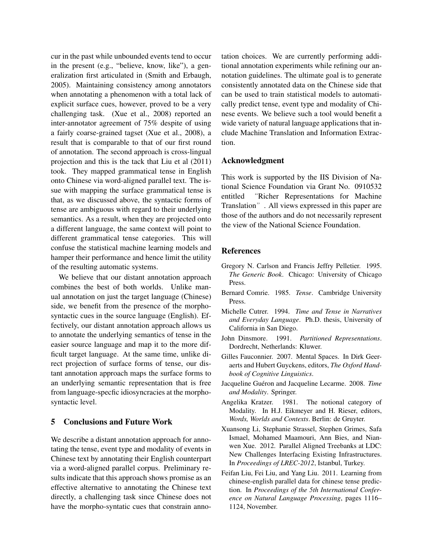cur in the past while unbounded events tend to occur in the present (e.g., "believe, know, like"), a generalization first articulated in (Smith and Erbaugh, 2005). Maintaining consistency among annotators when annotating a phenomenon with a total lack of explicit surface cues, however, proved to be a very challenging task. (Xue et al., 2008) reported an inter-annotator agreement of 75% despite of using a fairly coarse-grained tagset (Xue et al., 2008), a result that is comparable to that of our first round of annotation. The second approach is cross-lingual projection and this is the tack that Liu et al (2011) took. They mapped grammatical tense in English onto Chinese via word-aligned parallel text. The issue with mapping the surface grammatical tense is that, as we discussed above, the syntactic forms of tense are ambiguous with regard to their underlying semantics. As a result, when they are projected onto a different language, the same context will point to different grammatical tense categories. This will confuse the statistical machine learning models and hamper their performance and hence limit the utility of the resulting automatic systems.

We believe that our distant annotation approach combines the best of both worlds. Unlike manual annotation on just the target language (Chinese) side, we benefit from the presence of the morphosyntactic cues in the source language (English). Effectively, our distant annotation approach allows us to annotate the underlying semantics of tense in the easier source language and map it to the more difficult target language. At the same time, unlike direct projection of surface forms of tense, our distant annotation approach maps the surface forms to an underlying semantic representation that is free from language-specfic idiosyncracies at the morphosyntactic level.

### 5 Conclusions and Future Work

We describe a distant annotation approach for annotating the tense, event type and modality of events in Chinese text by annotating their English counterpart via a word-aligned parallel corpus. Preliminary results indicate that this approach shows promise as an effective alternative to annotating the Chinese text directly, a challenging task since Chinese does not have the morpho-syntatic cues that constrain annotation choices. We are currently performing additional annotation experiments while refining our annotation guidelines. The ultimate goal is to generate consistently annotated data on the Chinese side that can be used to train statistical models to automatically predict tense, event type and modality of Chinese events. We believe such a tool would benefit a wide variety of natural language applications that include Machine Translation and Information Extraction.

#### Acknowledgment

This work is supported by the IIS Division of National Science Foundation via Grant No. 0910532 entitled "Richer Representations for Machine Translation". All views expressed in this paper are those of the authors and do not necessarily represent the view of the National Science Foundation.

#### References

- Gregory N. Carlson and Francis Jeffry Pelletier. 1995. *The Generic Book*. Chicago: University of Chicago Press.
- Bernard Comrie. 1985. *Tense*. Cambridge University Press.
- Michelle Cutrer. 1994. *Time and Tense in Narratives and Everyday Language*. Ph.D. thesis, University of California in San Diego.
- John Dinsmore. 1991. *Partitioned Representations*. Dordrecht, Netherlands: Kluwer.
- Gilles Fauconnier. 2007. Mental Spaces. In Dirk Geeraerts and Hubert Guyckens, editors, *The Oxford Handbook of Cognitive Linguistics*.
- Jacqueline Guéron and Jacqueline Lecarme. 2008. Time *and Modality*. Springer.
- Angelika Kratzer. 1981. The notional category of Modality. In H.J. Eikmeyer and H. Rieser, editors, *Words, Worlds and Contexts*. Berlin: de Gruyter.
- Xuansong Li, Stephanie Strassel, Stephen Grimes, Safa Ismael, Mohamed Maamouri, Ann Bies, and Nianwen Xue. 2012. Parallel Aligned Treebanks at LDC: New Challenges Interfacing Existing Infrastructures. In *Proceedings of LREC-2012*, Istanbul, Turkey.
- Feifan Liu, Fei Liu, and Yang Liu. 2011. Learning from chinese-english parallel data for chinese tense prediction. In *Proceedings of the 5th International Conference on Natural Language Processing*, pages 1116– 1124, November.